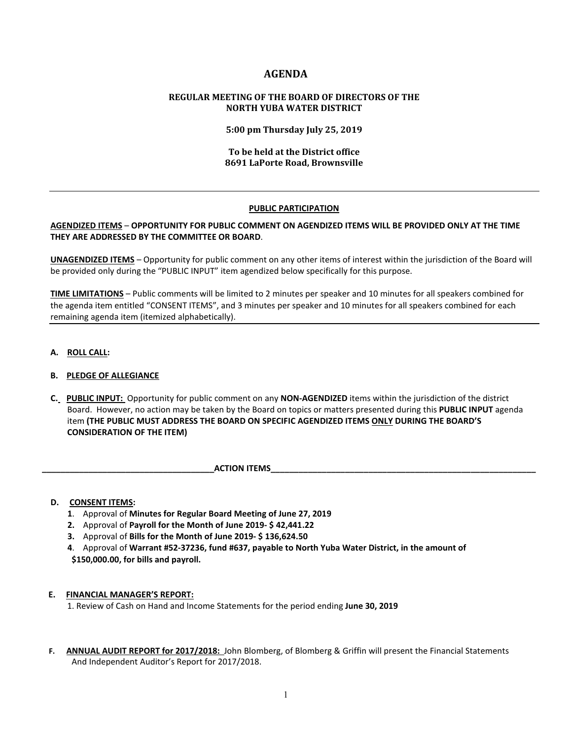# **AGENDA**

# **REGULAR MEETING OF THE BOARD OF DIRECTORS OF THE NORTH YUBA WATER DISTRICT**

**5:00 pm Thursday July 25, 2019**

# **To be held at the District office 8691 LaPorte Road, Brownsville**

# **PUBLIC PARTICIPATION**

# **AGENDIZED ITEMS** – **OPPORTUNITY FOR PUBLIC COMMENT ON AGENDIZED ITEMS WILL BE PROVIDED ONLY AT THE TIME THEY ARE ADDRESSED BY THE COMMITTEE OR BOARD**.

**UNAGENDIZED ITEMS** – Opportunity for public comment on any other items of interest within the jurisdiction of the Board will be provided only during the "PUBLIC INPUT" item agendized below specifically for this purpose.

**TIME LIMITATIONS** – Public comments will be limited to 2 minutes per speaker and 10 minutes for all speakers combined for the agenda item entitled "CONSENT ITEMS", and 3 minutes per speaker and 10 minutes for all speakers combined for each remaining agenda item (itemized alphabetically).

**A. ROLL CALL:** 

# **B. PLEDGE OF ALLEGIANCE**

- **C. PUBLIC INPUT:** Opportunity for public comment on any **NON-AGENDIZED** items within the jurisdiction of the district Board. However, no action may be taken by the Board on topics or matters presented during this **PUBLIC INPUT** agenda item **(THE PUBLIC MUST ADDRESS THE BOARD ON SPECIFIC AGENDIZED ITEMS ONLY DURING THE BOARD'S CONSIDERATION OF THE ITEM)**
	- **ACTION ITEMS**

#### **D. CONSENT ITEMS:**

- **1**. Approval of **Minutes for Regular Board Meeting of June 27, 2019**
- **2.** Approval of **Payroll for the Month of June 2019- \$ 42,441.22**
- **3.** Approval of **Bills for the Month of June 2019- \$ 136,624.50**
- **4**. Approval of **Warrant #52-37236, fund #637, payable to North Yuba Water District, in the amount of \$150,000.00, for bills and payroll.**

#### **E. FINANCIAL MANAGER'S REPORT:**

1. Review of Cash on Hand and Income Statements for the period ending **June 30, 2019**

 **F. ANNUAL AUDIT REPORT for 2017/2018:** John Blomberg, of Blomberg & Griffin will present the Financial Statements And Independent Auditor's Report for 2017/2018.